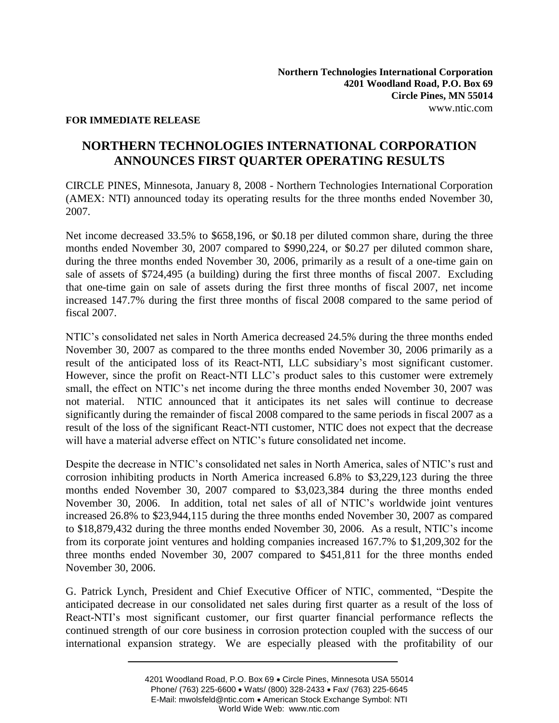### **FOR IMMEDIATE RELEASE**

# **NORTHERN TECHNOLOGIES INTERNATIONAL CORPORATION ANNOUNCES FIRST QUARTER OPERATING RESULTS**

CIRCLE PINES, Minnesota, January 8, 2008 - Northern Technologies International Corporation (AMEX: NTI) announced today its operating results for the three months ended November 30, 2007.

Net income decreased 33.5% to \$658,196, or \$0.18 per diluted common share, during the three months ended November 30, 2007 compared to \$990,224, or \$0.27 per diluted common share, during the three months ended November 30, 2006, primarily as a result of a one-time gain on sale of assets of \$724,495 (a building) during the first three months of fiscal 2007. Excluding that one-time gain on sale of assets during the first three months of fiscal 2007, net income increased 147.7% during the first three months of fiscal 2008 compared to the same period of fiscal 2007.

NTIC's consolidated net sales in North America decreased 24.5% during the three months ended November 30, 2007 as compared to the three months ended November 30, 2006 primarily as a result of the anticipated loss of its React-NTI, LLC subsidiary's most significant customer. However, since the profit on React-NTI LLC's product sales to this customer were extremely small, the effect on NTIC's net income during the three months ended November 30, 2007 was not material. NTIC announced that it anticipates its net sales will continue to decrease significantly during the remainder of fiscal 2008 compared to the same periods in fiscal 2007 as a result of the loss of the significant React-NTI customer, NTIC does not expect that the decrease will have a material adverse effect on NTIC's future consolidated net income.

Despite the decrease in NTIC's consolidated net sales in North America, sales of NTIC's rust and corrosion inhibiting products in North America increased 6.8% to \$3,229,123 during the three months ended November 30, 2007 compared to \$3,023,384 during the three months ended November 30, 2006. In addition, total net sales of all of NTIC's worldwide joint ventures increased 26.8% to \$23,944,115 during the three months ended November 30, 2007 as compared to \$18,879,432 during the three months ended November 30, 2006. As a result, NTIC's income from its corporate joint ventures and holding companies increased 167.7% to \$1,209,302 for the three months ended November 30, 2007 compared to \$451,811 for the three months ended November 30, 2006.

G. Patrick Lynch, President and Chief Executive Officer of NTIC, commented, "Despite the anticipated decrease in our consolidated net sales during first quarter as a result of the loss of React-NTI's most significant customer, our first quarter financial performance reflects the continued strength of our core business in corrosion protection coupled with the success of our international expansion strategy. We are especially pleased with the profitability of our

<sup>4201</sup> Woodland Road, P.O. Box 69 Circle Pines, Minnesota USA 55014 Phone/ (763) 225-6600 • Wats/ (800) 328-2433 • Fax/ (763) 225-6645 E-Mail: mwolsfeld@ntic.com . American Stock Exchange Symbol: NTI World Wide Web: www.ntic.com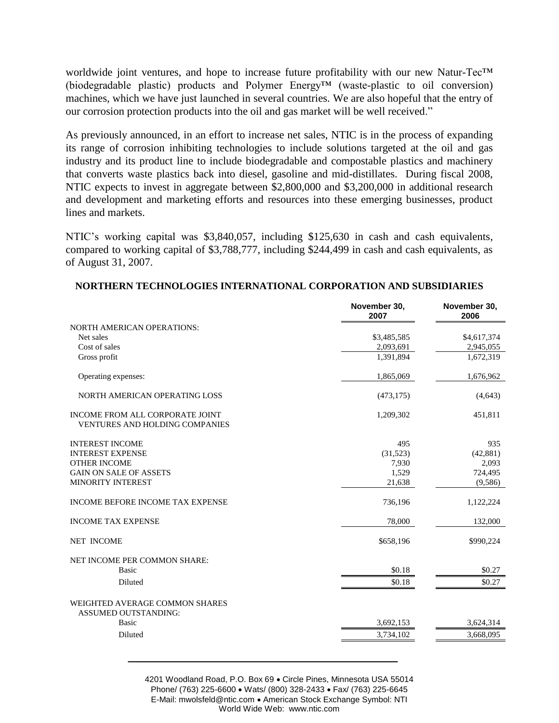worldwide joint ventures, and hope to increase future profitability with our new Natur-Tec™ (biodegradable plastic) products and Polymer Energy™ (waste-plastic to oil conversion) machines, which we have just launched in several countries. We are also hopeful that the entry of our corrosion protection products into the oil and gas market will be well received."

As previously announced, in an effort to increase net sales, NTIC is in the process of expanding its range of corrosion inhibiting technologies to include solutions targeted at the oil and gas industry and its product line to include biodegradable and compostable plastics and machinery that converts waste plastics back into diesel, gasoline and mid-distillates. During fiscal 2008, NTIC expects to invest in aggregate between \$2,800,000 and \$3,200,000 in additional research and development and marketing efforts and resources into these emerging businesses, product lines and markets.

NTIC's working capital was \$3,840,057, including \$125,630 in cash and cash equivalents, compared to working capital of \$3,788,777, including \$244,499 in cash and cash equivalents, as of August 31, 2007.

|                                                                          | November 30,<br>2007 | November 30,<br>2006 |
|--------------------------------------------------------------------------|----------------------|----------------------|
| <b>NORTH AMERICAN OPERATIONS:</b>                                        |                      |                      |
| Net sales                                                                | \$3,485,585          | \$4,617,374          |
| Cost of sales                                                            | 2,093,691            | 2,945,055            |
| Gross profit                                                             | 1.391.894            | 1,672,319            |
| Operating expenses:                                                      | 1,865,069            | 1,676,962            |
| NORTH AMERICAN OPERATING LOSS                                            | (473, 175)           | (4,643)              |
| INCOME FROM ALL CORPORATE JOINT<br><b>VENTURES AND HOLDING COMPANIES</b> | 1,209,302            | 451,811              |
| <b>INTEREST INCOME</b>                                                   | 495                  | 935                  |
| <b>INTEREST EXPENSE</b>                                                  | (31,523)             | (42, 881)            |
| <b>OTHER INCOME</b>                                                      | 7,930                | 2,093                |
| <b>GAIN ON SALE OF ASSETS</b>                                            | 1,529                | 724,495              |
| <b>MINORITY INTEREST</b>                                                 | 21,638               | (9,586)              |
| INCOME BEFORE INCOME TAX EXPENSE                                         | 736,196              | 1,122,224            |
| <b>INCOME TAX EXPENSE</b>                                                | 78,000               | 132,000              |
| <b>NET INCOME</b>                                                        | \$658,196            | \$990,224            |
| NET INCOME PER COMMON SHARE:                                             |                      |                      |
| <b>Basic</b>                                                             | \$0.18               | \$0.27               |
| Diluted                                                                  | \$0.18               | \$0.27               |
| WEIGHTED AVERAGE COMMON SHARES<br><b>ASSUMED OUTSTANDING:</b>            |                      |                      |
| <b>Basic</b>                                                             | 3,692,153            | 3,624,314            |
| Diluted                                                                  | 3,734,102            | 3,668,095            |
|                                                                          |                      |                      |

### **NORTHERN TECHNOLOGIES INTERNATIONAL CORPORATION AND SUBSIDIARIES**

4201 Woodland Road, P.O. Box 69 Circle Pines, Minnesota USA 55014 Phone/ (763) 225-6600 · Wats/ (800) 328-2433 · Fax/ (763) 225-6645 E-Mail: mwolsfeld@ntic.com . American Stock Exchange Symbol: NTI World Wide Web: www.ntic.com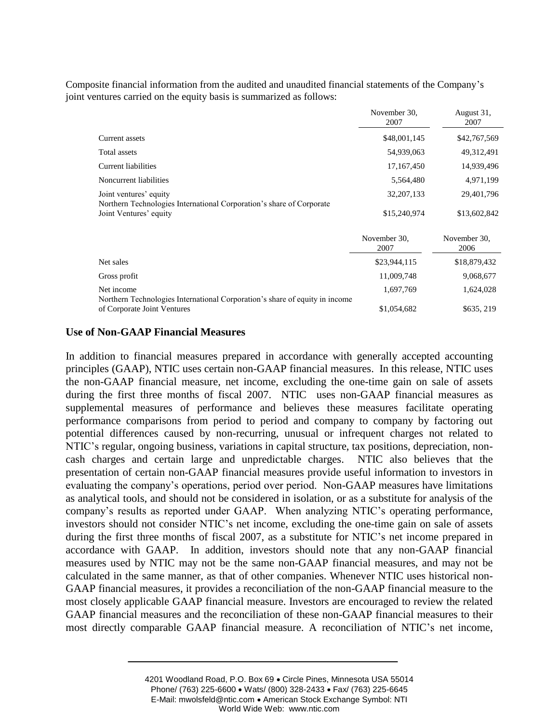Composite financial information from the audited and unaudited financial statements of the Company's joint ventures carried on the equity basis is summarized as follows:

|                                                                                                | November 30.<br>2007 | August 31,<br>2007   |
|------------------------------------------------------------------------------------------------|----------------------|----------------------|
| Current assets                                                                                 | \$48,001,145         | \$42,767,569         |
| Total assets                                                                                   | 54,939,063           | 49, 312, 491         |
| Current liabilities                                                                            | 17, 167, 450         | 14,939,496           |
| Noncurrent liabilities                                                                         | 5,564,480            | 4,971,199            |
| Joint ventures' equity                                                                         | 32, 207, 133         | 29,401,796           |
| Northern Technologies International Corporation's share of Corporate<br>Joint Ventures' equity | \$15,240,974         | \$13,602,842         |
|                                                                                                | November 30,<br>2007 | November 30,<br>2006 |
| Net sales                                                                                      | \$23,944,115         | \$18,879,432         |
| Gross profit                                                                                   | 11,009,748           | 9,068,677            |
| Net income<br>Northern Technologies International Corporation's share of equity in income      | 1,697,769            | 1,624,028            |
| of Corporate Joint Ventures                                                                    | \$1,054,682          | \$635, 219           |

#### **Use of Non-GAAP Financial Measures**

In addition to financial measures prepared in accordance with generally accepted accounting principles (GAAP), NTIC uses certain non-GAAP financial measures. In this release, NTIC uses the non-GAAP financial measure, net income, excluding the one-time gain on sale of assets during the first three months of fiscal 2007. NTIC uses non-GAAP financial measures as supplemental measures of performance and believes these measures facilitate operating performance comparisons from period to period and company to company by factoring out potential differences caused by non-recurring, unusual or infrequent charges not related to NTIC's regular, ongoing business, variations in capital structure, tax positions, depreciation, noncash charges and certain large and unpredictable charges. NTIC also believes that the presentation of certain non-GAAP financial measures provide useful information to investors in evaluating the company's operations, period over period. Non-GAAP measures have limitations as analytical tools, and should not be considered in isolation, or as a substitute for analysis of the company's results as reported under GAAP. When analyzing NTIC's operating performance, investors should not consider NTIC's net income, excluding the one-time gain on sale of assets during the first three months of fiscal 2007, as a substitute for NTIC's net income prepared in accordance with GAAP. In addition, investors should note that any non-GAAP financial measures used by NTIC may not be the same non-GAAP financial measures, and may not be calculated in the same manner, as that of other companies. Whenever NTIC uses historical non-GAAP financial measures, it provides a reconciliation of the non-GAAP financial measure to the most closely applicable GAAP financial measure. Investors are encouraged to review the related GAAP financial measures and the reconciliation of these non-GAAP financial measures to their most directly comparable GAAP financial measure. A reconciliation of NTIC's net income,

<sup>4201</sup> Woodland Road, P.O. Box 69 Circle Pines, Minnesota USA 55014 Phone/ (763) 225-6600 · Wats/ (800) 328-2433 · Fax/ (763) 225-6645 E-Mail: mwolsfeld@ntic.com • American Stock Exchange Symbol: NTI World Wide Web: www.ntic.com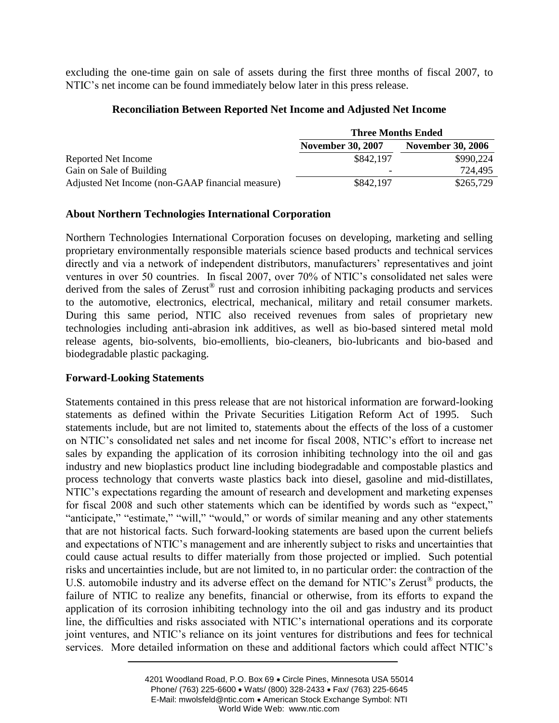excluding the one-time gain on sale of assets during the first three months of fiscal 2007, to NTIC's net income can be found immediately below later in this press release.

### **Reconciliation Between Reported Net Income and Adjusted Net Income**

|                                                  | <b>Three Months Ended</b> |                          |
|--------------------------------------------------|---------------------------|--------------------------|
|                                                  | <b>November 30, 2007</b>  | <b>November 30, 2006</b> |
| Reported Net Income                              | \$842,197                 | \$990,224                |
| Gain on Sale of Building                         | $\overline{\phantom{0}}$  | 724,495                  |
| Adjusted Net Income (non-GAAP financial measure) | \$842,197                 | \$265,729                |

# **About Northern Technologies International Corporation**

Northern Technologies International Corporation focuses on developing, marketing and selling proprietary environmentally responsible materials science based products and technical services directly and via a network of independent distributors, manufacturers' representatives and joint ventures in over 50 countries. In fiscal 2007, over 70% of NTIC's consolidated net sales were derived from the sales of Zerust® rust and corrosion inhibiting packaging products and services to the automotive, electronics, electrical, mechanical, military and retail consumer markets. During this same period, NTIC also received revenues from sales of proprietary new technologies including anti-abrasion ink additives, as well as bio-based sintered metal mold release agents, bio-solvents, bio-emollients, bio-cleaners, bio-lubricants and bio-based and biodegradable plastic packaging.

# **Forward-Looking Statements**

Statements contained in this press release that are not historical information are forward-looking statements as defined within the Private Securities Litigation Reform Act of 1995. Such statements include, but are not limited to, statements about the effects of the loss of a customer on NTIC's consolidated net sales and net income for fiscal 2008, NTIC's effort to increase net sales by expanding the application of its corrosion inhibiting technology into the oil and gas industry and new bioplastics product line including biodegradable and compostable plastics and process technology that converts waste plastics back into diesel, gasoline and mid-distillates, NTIC's expectations regarding the amount of research and development and marketing expenses for fiscal 2008 and such other statements which can be identified by words such as "expect," "anticipate," "estimate," "will," "would," or words of similar meaning and any other statements that are not historical facts. Such forward-looking statements are based upon the current beliefs and expectations of NTIC's management and are inherently subject to risks and uncertainties that could cause actual results to differ materially from those projected or implied. Such potential risks and uncertainties include, but are not limited to, in no particular order: the contraction of the U.S. automobile industry and its adverse effect on the demand for NTIC's Zerust® products, the failure of NTIC to realize any benefits, financial or otherwise, from its efforts to expand the application of its corrosion inhibiting technology into the oil and gas industry and its product line, the difficulties and risks associated with NTIC's international operations and its corporate joint ventures, and NTIC's reliance on its joint ventures for distributions and fees for technical services. More detailed information on these and additional factors which could affect NTIC's